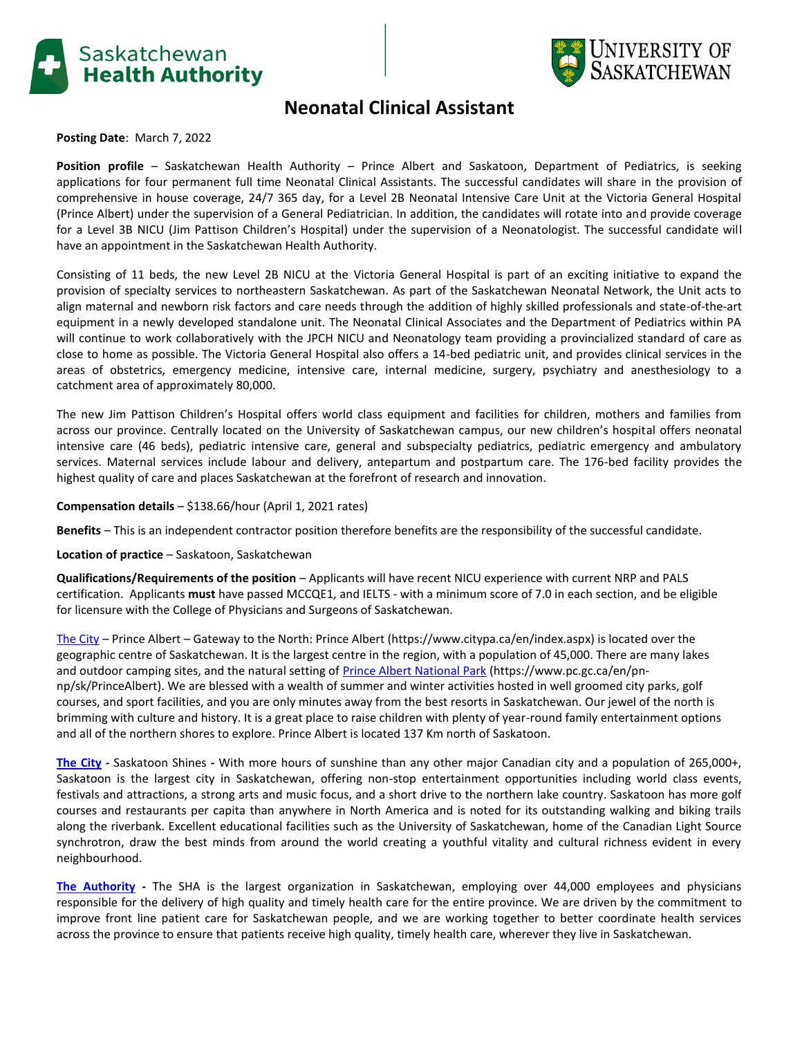



## **Neonatal Clinical Assistant**

**Posting Date**: March 7, 2022

**Position profile** – Saskatchewan Health Authority – Prince Albert and Saskatoon, Department of Pediatrics, is seeking applications for four permanent full time Neonatal Clinical Assistants. The successful candidates will share in the provision of comprehensive in house coverage, 24/7 365 day, for a Level 2B Neonatal Intensive Care Unit at the Victoria General Hospital (Prince Albert) under the supervision of a General Pediatrician. In addition, the candidates will rotate into and provide coverage for a Level 3B NICU (Jim Pattison Children's Hospital) under the supervision of a Neonatologist. The successful candidate will have an appointment in the Saskatchewan Health Authority.

Consisting of 11 beds, the new Level 2B NICU at the Victoria General Hospital is part of an exciting initiative to expand the provision of specialty services to northeastern Saskatchewan. As part of the Saskatchewan Neonatal Network, the Unit acts to align maternal and newborn risk factors and care needs through the addition of highly skilled professionals and state-of-the-art equipment in a newly developed standalone unit. The Neonatal Clinical Associates and the Department of Pediatrics within PA will continue to work collaboratively with the JPCH NICU and Neonatology team providing a provincialized standard of care as close to home as possible. The Victoria General Hospital also offers a 14-bed pediatric unit, and provides clinical services in the areas of obstetrics, emergency medicine, intensive care, internal medicine, surgery, psychiatry and anesthesiology to a catchment area of approximately 80,000.

The new Jim Pattison Children's Hospital offers world class equipment and facilities for children, mothers and families from across our province. Centrally located on the University of Saskatchewan campus, our new children's hospital offers neonatal intensive care (46 beds), pediatric intensive care, general and subspecialty pediatrics, pediatric emergency and ambulatory services. Maternal services include labour and delivery, antepartum and postpartum care. The 176-bed facility provides the highest quality of care and places Saskatchewan at the forefront of research and innovation.

**Compensation details** – \$138.66/hour (April 1, 2021 rates)

**Benefits** – This is an independent contractor position therefore benefits are the responsibility of the successful candidate.

**Location of practice** – Saskatoon, Saskatchewan

**Qualifications/Requirements of the position** – Applicants will have recent NICU experience with current NRP and PALS certification. Applicants **must** have passed MCCQE1, and IELTS - with a minimum score of 7.0 in each section, and be eligible for licensure with the College of Physicians and Surgeons of Saskatchewan.

[The City](https://www.citypa.ca/en/index.aspx) – Prince Albert – Gateway to the North: Prince Albert (https://www.citypa.ca/en/index.aspx) is located over the geographic centre of Saskatchewan. It is the largest centre in the region, with a population of 45,000. There are many lakes and outdoor camping sites, and the natural setting o[f Prince Albert National Park](https://www.pc.gc.ca/en/pn-np/sk/PrinceAlbert) (https://www.pc.gc.ca/en/pnnp/sk/PrinceAlbert). We are blessed with a wealth of summer and winter activities hosted in well groomed city parks, golf courses, and sport facilities, and you are only minutes away from the best resorts in Saskatchewan. Our jewel of the north is brimming with culture and history. It is a great place to raise children with plenty of year-round family entertainment options and all of the northern shores to explore. Prince Albert is located 137 Km north of Saskatoon.

**[The City](https://www.saskatoonhealthregion.ca/Physicians/Pages/Saskatoon-Community-Information.aspx) -** Saskatoon Shines **-** With more hours of sunshine than any other major Canadian city and a population of 265,000+, Saskatoon is the largest city in Saskatchewan, offering non-stop entertainment opportunities including world class events, festivals and attractions, a strong arts and music focus, and a short drive to the northern lake country. Saskatoon has more golf courses and restaurants per capita than anywhere in North America and is noted for its outstanding walking and biking trails along the riverbank. Excellent educational facilities such as the University of Saskatchewan, home of the Canadian Light Source synchrotron, draw the best minds from around the world creating a youthful vitality and cultural richness evident in every neighbourhood.

**[The Authority](https://www.saskhealthauthority.ca/) -** The SHA is the largest organization in Saskatchewan, employing over 44,000 employees and physicians responsible for the delivery of high quality and timely health care for the entire province. We are driven by the commitment to improve front line patient care for Saskatchewan people, and we are working together to better coordinate health services across the province to ensure that patients receive high quality, timely health care, wherever they live in Saskatchewan.